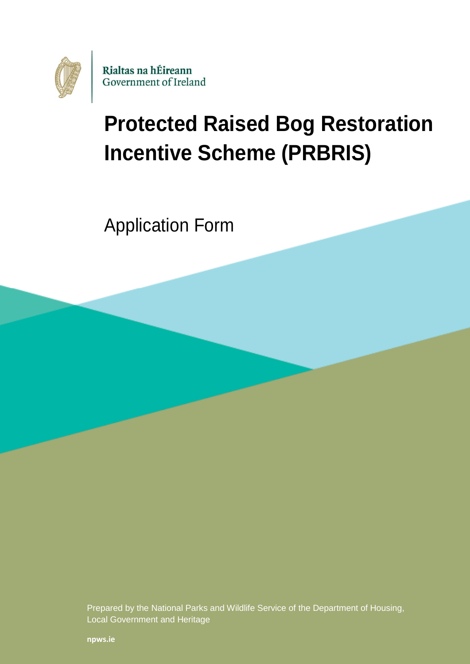

# **Protected Raised Bog Restoration Incentive Scheme (PRBRIS)**

Application Form

Prepared by the National Parks and Wildlife Service of the Department of Housing, Local Government and Heritage

**[npws.ie](https://www.npws.ie/)**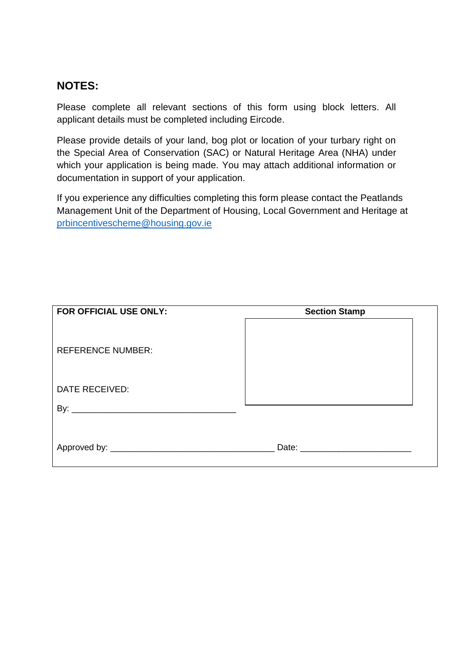#### **NOTES:**

Please complete all relevant sections of this form using block letters. All applicant details must be completed including Eircode.

Please provide details of your land, bog plot or location of your turbary right on the Special Area of Conservation (SAC) or Natural Heritage Area (NHA) under which your application is being made. You may attach additional information or documentation in support of your application.

If you experience any difficulties completing this form please contact the Peatlands Management Unit of the Department of Housing, Local Government and Heritage at [prbincentivescheme@housing.gov.ie](mailto:prbincentivescheme@housing.gov.ie)

| FOR OFFICIAL USE ONLY:   | <b>Section Stamp</b>                                                                                                                                                                                                           |
|--------------------------|--------------------------------------------------------------------------------------------------------------------------------------------------------------------------------------------------------------------------------|
| <b>REFERENCE NUMBER:</b> |                                                                                                                                                                                                                                |
| DATE RECEIVED:           |                                                                                                                                                                                                                                |
|                          |                                                                                                                                                                                                                                |
|                          |                                                                                                                                                                                                                                |
|                          | Date: the contract of the contract of the contract of the contract of the contract of the contract of the contract of the contract of the contract of the contract of the contract of the contract of the contract of the cont |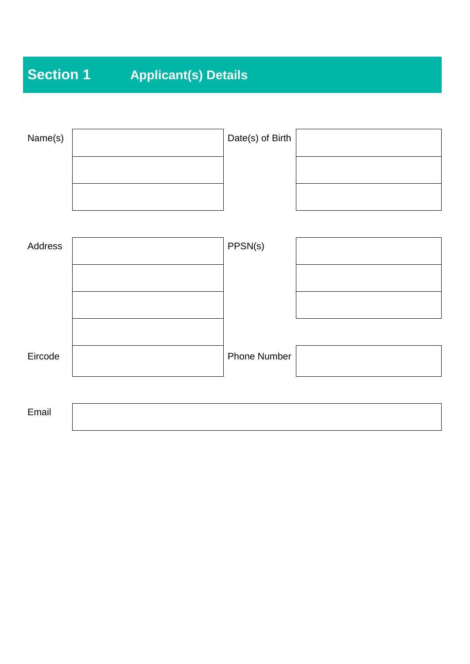## **Section 1 Applicant(s) Details**

| Name(s) | Date(s) of Birth    |  |
|---------|---------------------|--|
|         |                     |  |
|         |                     |  |
| Address | PPSN(s)             |  |
|         |                     |  |
|         |                     |  |
| Eircode | <b>Phone Number</b> |  |
| Email   |                     |  |
|         |                     |  |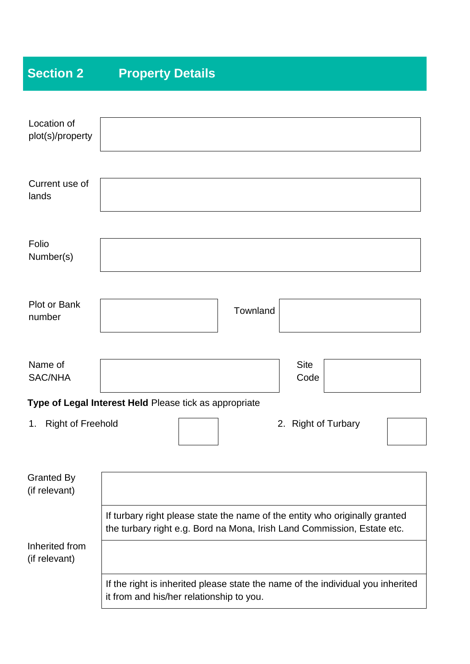### **Section 2 Property Details**

| Location of<br>plot(s)/property    |                                                                                                                                                        |
|------------------------------------|--------------------------------------------------------------------------------------------------------------------------------------------------------|
| Current use of<br>lands            |                                                                                                                                                        |
| Folio<br>Number(s)                 |                                                                                                                                                        |
| Plot or Bank<br>number             | Townland                                                                                                                                               |
| Name of<br>SAC/NHA                 | <b>Site</b><br>Code                                                                                                                                    |
|                                    | Type of Legal Interest Held Please tick as appropriate                                                                                                 |
| 1. Right of Freehold               | 2. Right of Turbary                                                                                                                                    |
| <b>Granted By</b><br>(if relevant) |                                                                                                                                                        |
|                                    | If turbary right please state the name of the entity who originally granted<br>the turbary right e.g. Bord na Mona, Irish Land Commission, Estate etc. |
| Inherited from<br>(if relevant)    |                                                                                                                                                        |
|                                    | If the right is inherited please state the name of the individual you inherited<br>it from and his/her relationship to you.                            |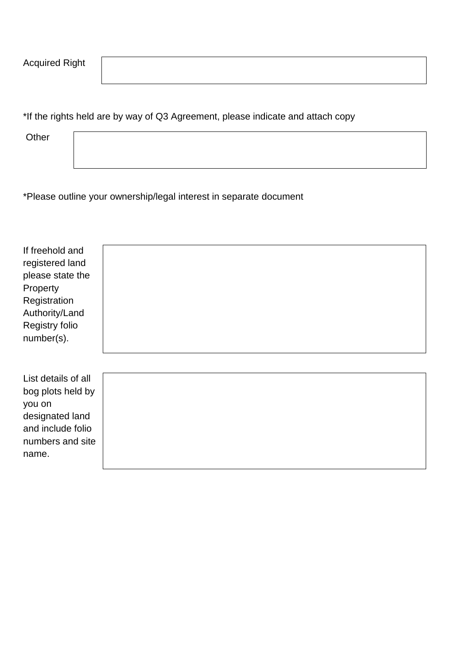| <b>Acquired Right</b> |  |
|-----------------------|--|
|-----------------------|--|

\*If the rights held are by way of Q3 Agreement, please indicate and attach copy

**Other** 

\*Please outline your ownership/legal interest in separate document

| If freehold and<br>registered land<br>please state the<br>Property<br>Registration<br>Authority/Land<br>Registry folio<br>number(s). |  |
|--------------------------------------------------------------------------------------------------------------------------------------|--|
| List details of all<br>bog plots held by<br>you on<br>designated land<br>and include folio<br>numbers and site<br>name.              |  |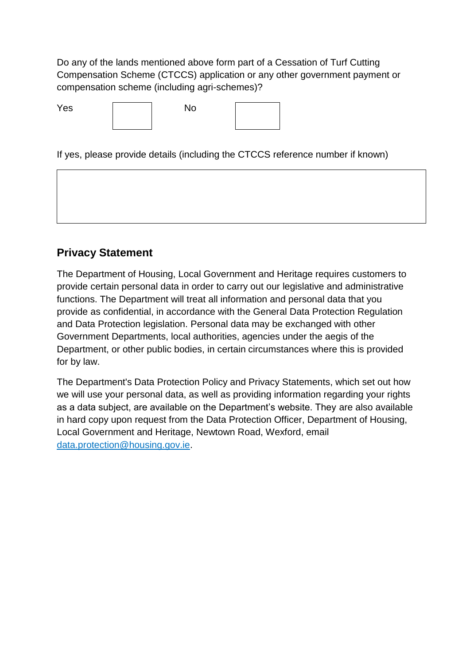Do any of the lands mentioned above form part of a Cessation of Turf Cutting Compensation Scheme (CTCCS) application or any other government payment or compensation scheme (including agri-schemes)?

| Yes | <b>No</b> |  |
|-----|-----------|--|
|     |           |  |

If yes, please provide details (including the CTCCS reference number if known)

#### **Privacy Statement**

The Department of Housing, Local Government and Heritage requires customers to provide certain personal data in order to carry out our legislative and administrative functions. The Department will treat all information and personal data that you provide as confidential, in accordance with the General Data Protection Regulation and Data Protection legislation. Personal data may be exchanged with other Government Departments, local authorities, agencies under the aegis of the Department, or other public bodies, in certain circumstances where this is provided for by law.

The Department's Data Protection Policy and Privacy Statements, which set out how we will use your personal data, as well as providing information regarding your rights as a data subject, are available on the Department's website. They are also available in hard copy upon request from the Data Protection Officer, Department of Housing, Local Government and Heritage, Newtown Road, Wexford, email [data.protection@housing.gov.ie.](mailto:data.protection@housing.gov.ie)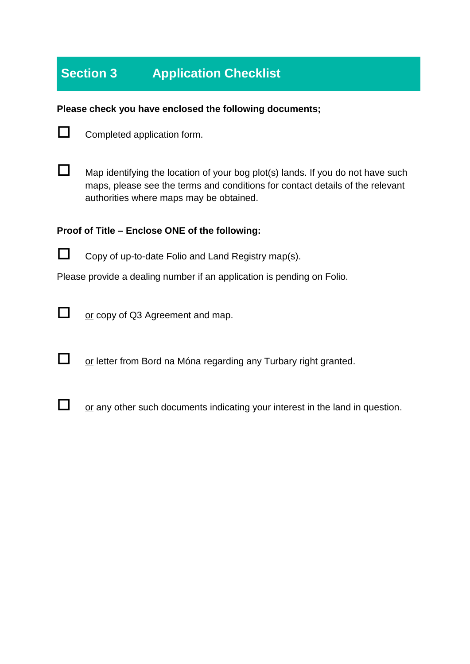### **Section 3** Application Checklist

**Please check you have enclosed the following documents;**



 $\Box$  Completed application form.



 $\Box$  Map identifying the location of your bog plot(s) lands. If you do not have such maps, please see the terms and conditions for contact details of the relevant authorities where maps may be obtained.

#### **Proof of Title – Enclose ONE of the following:**



 $\Box$  Copy of up-to-date Folio and Land Registry map(s).

Please provide a dealing number if an application is pending on Folio.



 $\Box$  or copy of Q3 Agreement and map.

or letter from Bord na Móna regarding any Turbary right granted.



 $\Box$  or any other such documents indicating your interest in the land in question.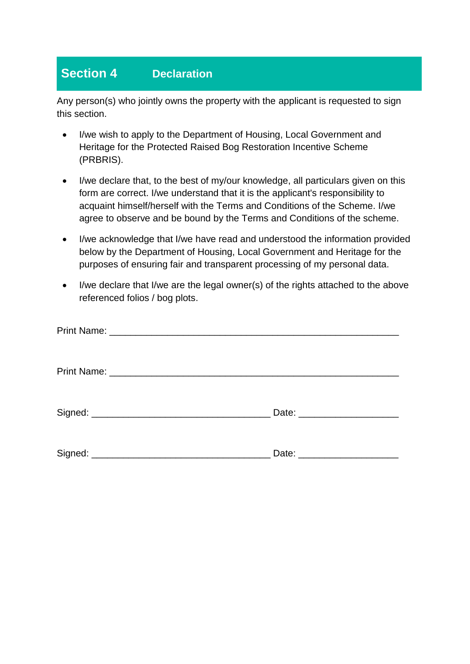#### **Section 4 Declaration**

Any person(s) who jointly owns the property with the applicant is requested to sign this section.

- I/we wish to apply to the Department of Housing, Local Government and Heritage for the Protected Raised Bog Restoration Incentive Scheme (PRBRIS).
- I/we declare that, to the best of my/our knowledge, all particulars given on this form are correct. I/we understand that it is the applicant's responsibility to acquaint himself/herself with the Terms and Conditions of the Scheme. I/we agree to observe and be bound by the Terms and Conditions of the scheme.
- I/we acknowledge that I/we have read and understood the information provided below by the Department of Housing, Local Government and Heritage for the purposes of ensuring fair and transparent processing of my personal data.
- I/we declare that I/we are the legal owner(s) of the rights attached to the above referenced folios / bog plots.

| Date: _______________________ |
|-------------------------------|
|                               |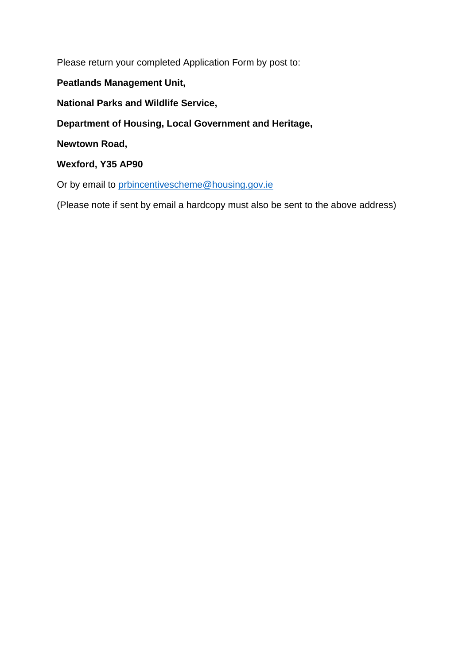Please return your completed Application Form by post to:

- **Peatlands Management Unit,**
- **National Parks and Wildlife Service,**
- **Department of Housing, Local Government and Heritage,**
- **Newtown Road,**
- **Wexford, Y35 AP90**
- Or by email to [prbincentivescheme@housing.gov.ie](mailto:prbincentivescheme@housing.gov.ie)

(Please note if sent by email a hardcopy must also be sent to the above address)